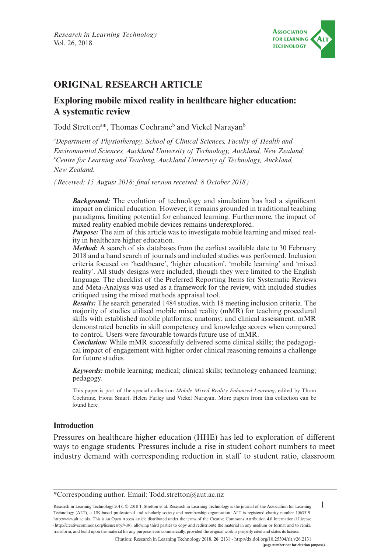

# **ORIGINAL RESEARCH ARTICLE**

# **Exploring mobile mixed reality in healthcare higher education: A systematic review**

Todd Stretton<sup>a\*</sup>, Thomas Cochrane<sup>b</sup> and Vickel Narayan<sup>t</sup>

*a Department of Physiotherapy, School of Clinical Sciences, Faculty of Health and Environmental Sciences, Auckland University of Technology, Auckland, New Zealand; b Centre for Learning and Teaching, Auckland University of Technology, Auckland, New Zealand.*

*(Received: 15 August 2018; final version received: 8 October 2018)*

**Background:** The evolution of technology and simulation has had a significant impact on clinical education. However, it remains grounded in traditional teaching paradigms, limiting potential for enhanced learning. Furthermore, the impact of mixed reality enabled mobile devices remains underexplored.

*Purpose:* The aim of this article was to investigate mobile learning and mixed reality in healthcare higher education.

*Method:* A search of six databases from the earliest available date to 30 February 2018 and a hand search of journals and included studies was performed. Inclusion criteria focused on 'healthcare', 'higher education', 'mobile learning' and 'mixed reality'. All study designs were included, though they were limited to the English language. The checklist of the Preferred Reporting Items for Systematic Reviews and Meta-Analysis was used as a framework for the review, with included studies critiqued using the mixed methods appraisal tool.

*Results:* The search generated 1484 studies, with 18 meeting inclusion criteria. The majority of studies utilised mobile mixed reality (mMR) for teaching procedural skills with established mobile platforms; anatomy; and clinical assessment. mMR demonstrated benefits in skill competency and knowledge scores when compared to control. Users were favourable towards future use of mMR.

*Conclusion:* While mMR successfully delivered some clinical skills; the pedagogical impact of engagement with higher order clinical reasoning remains a challenge for future studies.

*Keywords:* mobile learning; medical; clinical skills; technology enhanced learning; pedagogy.

This paper is part of the special collection *Mobile Mixed Reality Enhanced Learning*, edited by Thom Cochrane, Fiona Smart, Helen Farley and Vickel Narayan. More papers from this collection can be found [here.](https://journal.alt.ac.uk/index.php/rlt/pages/view/collections)

#### **Introduction**

Pressures on healthcare higher education (HHE) has led to exploration of different ways to engage students. Pressures include a rise in student cohort numbers to meet industry demand with corresponding reduction in staff to student ratio, classroom

1 Research in Learning Technology 2018. © 2018 T. Stretton et al. Research in Learning Technology is the journal of the Association for Learning Technology (ALT), a UK-based professional and scholarly society and membership organisation. ALT is registered charity number 1063519. [http://www.alt.ac.uk/.](http://www.alt.ac.uk/) This is an Open Access article distributed under the terms of the Creative Commons Attribution 4.0 International License (<http://creativecommons.org/licenses/by/4.0/>), allowing third parties to copy and redistribute the material in any medium or format and to remix, transform, and build upon the material for any purpose, even commercially, provided the original work is properly cited and states its license.

Citation: Research in Learning Technology 2018, **26**: 2131 - <http://dx.doi.org/10.25304/rlt.v26.2131>

<sup>\*</sup>Corresponding author. Email: [Todd.stretton@aut.ac.nz](mailto:Todd.stretton@aut.ac.nz)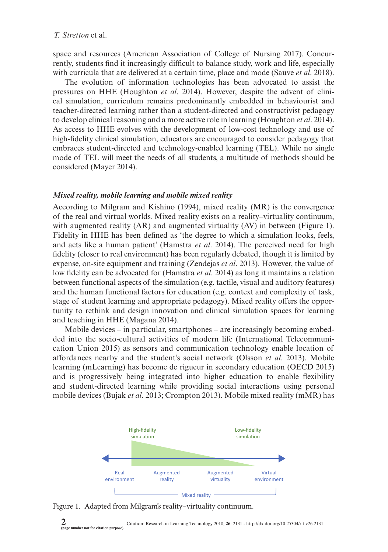space and resources (American Association of College of Nursing 2017). Concurrently, students find it increasingly difficult to balance study, work and life, especially with curricula that are delivered at a certain time, place and mode (Sauve *et al*. 2018).

The evolution of information technologies has been advocated to assist the pressures on HHE (Houghton *et al*. 2014). However, despite the advent of clinical simulation, curriculum remains predominantly embedded in behaviourist and teacher-directed learning rather than a student-directed and constructivist pedagogy to develop clinical reasoning and a more active role in learning (Houghton *et al*. 2014). As access to HHE evolves with the development of low-cost technology and use of high-fidelity clinical simulation, educators are encouraged to consider pedagogy that embraces student-directed and technology-enabled learning (TEL). While no single mode of TEL will meet the needs of all students, a multitude of methods should be considered (Mayer 2014).

#### *Mixed reality, mobile learning and mobile mixed reality*

According to Milgram and Kishino (1994), mixed reality (MR) is the convergence of the real and virtual worlds. Mixed reality exists on a reality–virtuality continuum, with augmented reality (AR) and augmented virtuality (AV) in between (Figure 1). Fidelity in HHE has been defined as 'the degree to which a simulation looks, feels, and acts like a human patient' (Hamstra *et al*. 2014). The perceived need for high fidelity (closer to real environment) has been regularly debated, though it is limited by expense, on-site equipment and training (Zendejas *et al*. 2013). However, the value of low fidelity can be advocated for (Hamstra *et al*. 2014) as long it maintains a relation between functional aspects of the simulation (e.g. tactile, visual and auditory features) and the human functional factors for education (e.g. context and complexity of task, stage of student learning and appropriate pedagogy). Mixed reality offers the opportunity to rethink and design innovation and clinical simulation spaces for learning and teaching in HHE (Magana 2014).

Mobile devices – in particular, smartphones – are increasingly becoming embedded into the socio-cultural activities of modern life (International Telecommunication Union 2015) as sensors and communication technology enable location of affordances nearby and the student's social network (Olsson *et al*. 2013). Mobile learning (mLearning) has become de rigueur in secondary education (OECD 2015) and is progressively being integrated into higher education to enable flexibility and student-directed learning while providing social interactions using personal mobile devices (Bujak *et al*. 2013; Crompton 2013). Mobile mixed reality (mMR) has



Figure 1. Adapted from Milgram's reality–virtuality continuum.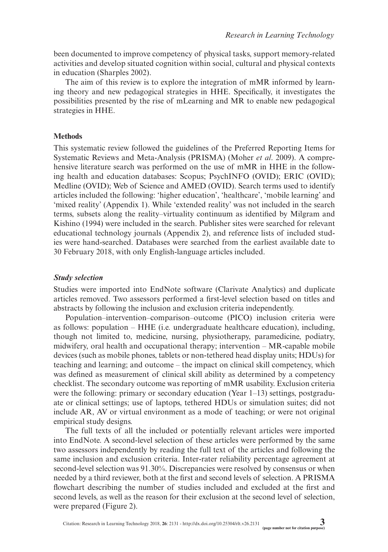been documented to improve competency of physical tasks, support memory-related activities and develop situated cognition within social, cultural and physical contexts in education (Sharples 2002).

The aim of this review is to explore the integration of mMR informed by learning theory and new pedagogical strategies in HHE. Specifically, it investigates the possibilities presented by the rise of mLearning and MR to enable new pedagogical strategies in HHE.

#### **Methods**

This systematic review followed the guidelines of the Preferred Reporting Items for Systematic Reviews and Meta-Analysis (PRISMA) (Moher *et al*. 2009). A comprehensive literature search was performed on the use of mMR in HHE in the following health and education databases: Scopus; PsychINFO (OVID); ERIC (OVID); Medline (OVID); Web of Science and AMED (OVID). Search terms used to identify articles included the following: 'higher education', 'healthcare', 'mobile learning' and 'mixed reality' (Appendix 1). While 'extended reality' was not included in the search terms, subsets along the reality–virtuality continuum as identified by Milgram and Kishino (1994) were included in the search. Publisher sites were searched for relevant educational technology journals (Appendix 2), and reference lists of included studies were hand-searched. Databases were searched from the earliest available date to 30 February 2018, with only English-language articles included.

#### *Study selection*

Studies were imported into EndNote software (Clarivate Analytics) and duplicate articles removed. Two assessors performed a first-level selection based on titles and abstracts by following the inclusion and exclusion criteria independently.

Population–intervention–comparison–outcome (PICO) inclusion criteria were as follows: population – HHE (i.e. undergraduate healthcare education), including, though not limited to, medicine, nursing, physiotherapy, paramedicine, podiatry, midwifery, oral health and occupational therapy; intervention – MR-capable mobile devices (such as mobile phones, tablets or non-tethered head display units; HDUs) for teaching and learning; and outcome – the impact on clinical skill competency, which was defined as measurement of clinical skill ability as determined by a competency checklist. The secondary outcome was reporting of mMR usability. Exclusion criteria were the following: primary or secondary education (Year 1–13) settings, postgraduate or clinical settings; use of laptops, tethered HDUs or simulation suites; did not include AR, AV or virtual environment as a mode of teaching; or were not original empirical study designs.

The full texts of all the included or potentially relevant articles were imported into EndNote. A second-level selection of these articles were performed by the same two assessors independently by reading the full text of the articles and following the same inclusion and exclusion criteria. Inter-rater reliability percentage agreement at second-level selection was 91.30%. Discrepancies were resolved by consensus or when needed by a third reviewer, both at the first and second levels of selection. A PRISMA flowchart describing the number of studies included and excluded at the first and second levels, as well as the reason for their exclusion at the second level of selection, were prepared (Figure 2).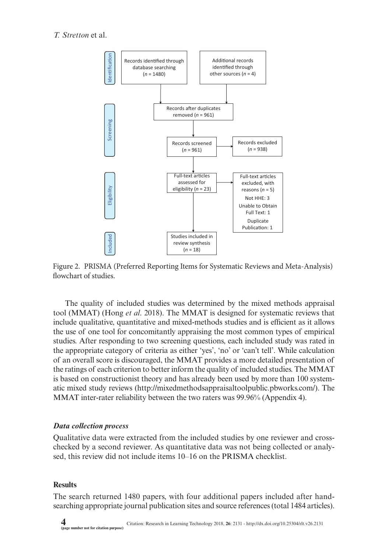



The quality of included studies was determined by the mixed methods appraisal tool (MMAT) (Hong *et al*. 2018). The MMAT is designed for systematic reviews that include qualitative, quantitative and mixed-methods studies and is efficient as it allows the use of one tool for concomitantly appraising the most common types of empirical studies. After responding to two screening questions, each included study was rated in the appropriate category of criteria as either 'yes', 'no' or 'can't tell'. While calculation of an overall score is discouraged, the MMAT provides a more detailed presentation of the ratings of each criterion to better inform the quality of included studies. The MMAT is based on constructionist theory and has already been used by more than 100 systematic mixed study reviews ([http://mixedmethodsappraisaltoolpublic.pbworks.com/\)](http://mixedmethodsappraisaltoolpublic.pbworks.com/). The MMAT inter-rater reliability between the two raters was 99.96% (Appendix 4).

### *Data collection process*

Qualitative data were extracted from the included studies by one reviewer and crosschecked by a second reviewer. As quantitative data was not being collected or analysed, this review did not include items 10–16 on the PRISMA checklist.

### **Results**

The search returned 1480 papers, with four additional papers included after handsearching appropriate journal publication sites and source references (total 1484 articles).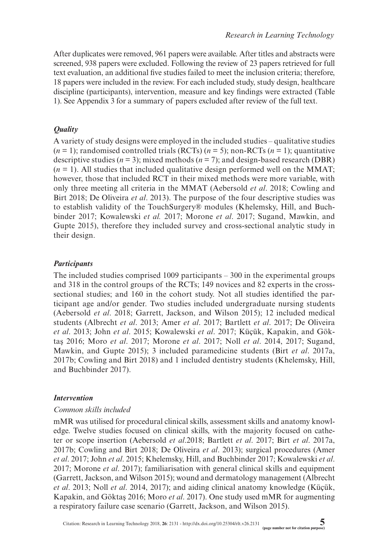After duplicates were removed, 961 papers were available. After titles and abstracts were screened, 938 papers were excluded. Following the review of 23 papers retrieved for full text evaluation, an additional five studies failed to meet the inclusion criteria; therefore, 18 papers were included in the review. For each included study, study design, healthcare discipline (participants), intervention, measure and key findings were extracted (Table 1). See Appendix 3 for a summary of papers excluded after review of the full text.

# *Quality*

A variety of study designs were employed in the included studies – qualitative studies  $(n = 1)$ ; randomised controlled trials (RCTs)  $(n = 5)$ ; non-RCTs  $(n = 1)$ ; quantitative descriptive studies ( $n = 3$ ); mixed methods ( $n = 7$ ); and design-based research (DBR)  $(n = 1)$ . All studies that included qualitative design performed well on the MMAT; however, those that included RCT in their mixed methods were more variable, with only three meeting all criteria in the MMAT (Aebersold *et al*. 2018; Cowling and Birt 2018; De Oliveira *et al*. 2013). The purpose of the four descriptive studies was to establish validity of the TouchSurgery® modules (Khelemsky, Hill, and Buchbinder 2017; Kowalewski *et al.* 2017; Morone *et al*. 2017; Sugand, Mawkin, and Gupte 2015), therefore they included survey and cross-sectional analytic study in their design.

# *Participants*

The included studies comprised 1009 participants – 300 in the experimental groups and 318 in the control groups of the RCTs; 149 novices and 82 experts in the crosssectional studies; and 160 in the cohort study. Not all studies identified the participant age and/or gender. Two studies included undergraduate nursing students (Aebersold *et al*. 2018; Garrett, Jackson, and Wilson 2015); 12 included medical students (Albrecht *et al*. 2013; Amer *et al*. 2017; Bartlett *et al*. 2017; De Oliveira *et al*. 2013; John *et al*. 2015; Kowalewski *et al*. 2017; Küçük, Kapakin, and Göktaş 2016; Moro *et al*. 2017; Morone *et al*. 2017; Noll *et al*. 2014, 2017; Sugand, Mawkin, and Gupte 2015); 3 included paramedicine students (Birt *et al*. 2017a, 2017b; Cowling and Birt 2018) and 1 included dentistry students (Khelemsky, Hill, and Buchbinder 2017).

# *Intervention*

## *Common skills included*

mMR was utilised for procedural clinical skills, assessment skills and anatomy knowledge. Twelve studies focused on clinical skills, with the majority focused on catheter or scope insertion (Aebersold *et al*.2018; Bartlett *et al*. 2017; Birt *et al*. 2017a, 2017b; Cowling and Birt 2018; De Oliveira *et al*. 2013); surgical procedures (Amer *et al*. 2017; John *et al*. 2015; Khelemsky, Hill, and Buchbinder 2017; Kowalewski *et al*. 2017; Morone *et al*. 2017); familiarisation with general clinical skills and equipment (Garrett, Jackson, and Wilson 2015); wound and dermatology management (Albrecht *et al*. 2013; Noll *et al*. 2014, 2017); and aiding clinical anatomy knowledge (Küçük, Kapakin, and Göktaş 2016; Moro *et al*. 2017). One study used mMR for augmenting a respiratory failure case scenario (Garrett, Jackson, and Wilson 2015).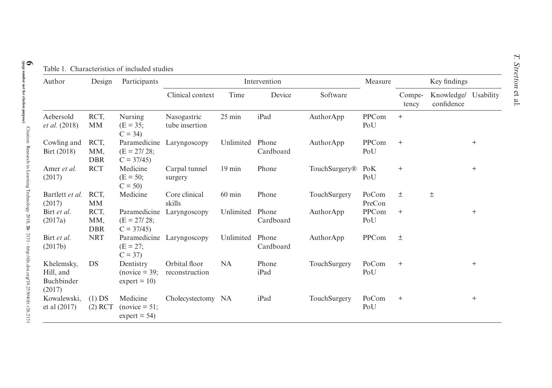| Author                                          | Design                    | Participants                                        |                                 |                  | Intervention       | Measure       | Key findings    |                 |                                    |           |  |  |
|-------------------------------------------------|---------------------------|-----------------------------------------------------|---------------------------------|------------------|--------------------|---------------|-----------------|-----------------|------------------------------------|-----------|--|--|
|                                                 |                           |                                                     | Clinical context                | Time             | Device             | Software      |                 | Compe-<br>tency | Knowledge/ Usability<br>confidence |           |  |  |
| Aebersold<br><i>et al.</i> (2018)               | RCT,<br><b>MM</b>         | Nursing<br>$(E = 35)$<br>$C = 34$                   | Nasogastric<br>tube insertion   | $25 \text{ min}$ | iPad               | AuthorApp     | PPCom<br>PoU    | $+$             |                                    |           |  |  |
| Cowling and<br>Birt (2018)                      | RCT.<br>MM,<br><b>DBR</b> | Paramedicine<br>$(E = 27/28)$ ;<br>$C = 37/45$      | Laryngoscopy                    | Unlimited        | Phone<br>Cardboard | AuthorApp     | PPCom<br>PoU    | $^{+}$          |                                    | $^{+}$    |  |  |
| Amer et al.<br>(2017)                           | <b>RCT</b>                | Medicine<br>$(E = 50;$<br>$C = 50$                  | Carpal tunnel<br>surgery        | $19 \text{ min}$ | Phone              | TouchSurgery® | PoK<br>PoU      | $^{+}$          |                                    | $^{+}$    |  |  |
| Bartlett et al.<br>(2017)                       | RCT.<br><b>MM</b>         | Medicine                                            | Core clinical<br>skills         | $60 \text{ min}$ | Phone              | TouchSurgery  | PoCom<br>PreCon | 土               | $\pm$                              |           |  |  |
| Birt et al.<br>(2017a)                          | RCT,<br>MM,<br><b>DBR</b> | Paramedicine<br>$(E = 27/28)$<br>$C = 37/45$        | Laryngoscopy                    | Unlimited        | Phone<br>Cardboard | AuthorApp     | PPCom<br>PoU    | $+$             |                                    | $\ddot{}$ |  |  |
| Birt et al.<br>(2017b)                          | <b>NRT</b>                | $(E = 27)$<br>$C = 37$                              | Paramedicine Laryngoscopy       | Unlimited        | Phone<br>Cardboard | AuthorApp     | PPCom           | 土               |                                    |           |  |  |
| Khelemsky,<br>Hill, and<br>Buchbinder<br>(2017) | <b>DS</b>                 | Dentistry<br>$(novice = 39)$<br>$expert = 10$       | Orbital floor<br>reconstruction | <b>NA</b>        | Phone<br>iPad      | TouchSurgery  | PoCom<br>PoU    | $^{+}$          |                                    | $^{+}$    |  |  |
| Kowalewski.<br>et al $(2017)$                   | $(1)$ DS<br>$(2)$ RCT     | Medicine<br>$(novice = 51)$<br>$\text{expert} = 54$ | Cholecystectomy NA              |                  | iPad               | TouchSurgery  | PoCom<br>PoU    | $^{+}$          |                                    | $^{+}$    |  |  |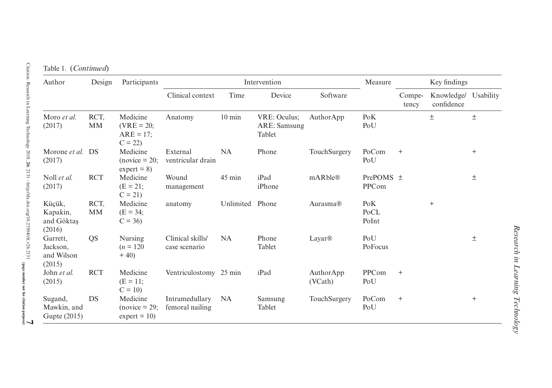#### Table 1. (*Continued*)

| Author                                       | Design            | Participants                                         |                                   |                  | Intervention                           |                      | Measure                |                 | Key findings                       |        |
|----------------------------------------------|-------------------|------------------------------------------------------|-----------------------------------|------------------|----------------------------------------|----------------------|------------------------|-----------------|------------------------------------|--------|
|                                              |                   |                                                      | Clinical context                  | Time             | Device                                 | Software             |                        | Compe-<br>tency | Knowledge/ Usability<br>confidence |        |
| Moro et al.<br>(2017)                        | RCT.<br><b>MM</b> | Medicine<br>$(VRE = 20;$<br>$ARE = 17$ :<br>$C = 22$ | Anatomy                           | $10 \text{ min}$ | VRE: Oculus:<br>ARE: Samsung<br>Tablet | AuthorApp            | PoK<br>PoU             |                 | 土                                  | $\pm$  |
| Morone et al.<br>(2017)                      | <b>DS</b>         | Medicine<br>$(novice = 20;$<br>$expert = 8$          | External<br>ventricular drain     | <b>NA</b>        | Phone                                  | TouchSurgery         | PoCom<br>PoU           | $^{+}$          |                                    | $^{+}$ |
| Noll et al.<br>(2017)                        | <b>RCT</b>        | Medicine<br>$(E = 21)$<br>$C = 21$                   | Wound<br>management               | 45 min           | iPad<br>iPhone                         | mARble®              | PrePOMS $\pm$<br>PPCom |                 |                                    | $\pm$  |
| Küçük,<br>Kapakin,<br>and Göktaş<br>(2016)   | RCT,<br><b>MM</b> | Medicine<br>$(E = 34)$<br>$C = 36$                   | anatomy                           | Unlimited        | Phone                                  | Aurasma®             | PoK<br>PoCL<br>PoInt   |                 | $^{+}$                             |        |
| Garrett,<br>Jackson.<br>and Wilson<br>(2015) | <b>QS</b>         | Nursing<br>$(n = 120)$<br>$+40$                      | Clinical skills/<br>case scenario | <b>NA</b>        | Phone<br>Tablet                        | Layar®               | PoU<br>PoFocus         |                 |                                    | $\pm$  |
| John et al.<br>(2015)                        | <b>RCT</b>        | Medicine<br>$(E = 11)$<br>$C = 10$                   | Ventriculostomy 25 min            |                  | iPad                                   | AuthorApp<br>(VCath) | PPCom<br>PoU           | $^{+}$          |                                    |        |
| Sugand,<br>Mawkin, and<br>Gupte (2015)       | DS                | Medicine<br>$(novice = 29)$<br>$\text{expert} = 10$  | Intramedullary<br>femoral nailing | <b>NA</b>        | Samsung<br>Tablet                      | TouchSurgery         | PoCom<br>PoU           | $^{+}$          |                                    | $^{+}$ |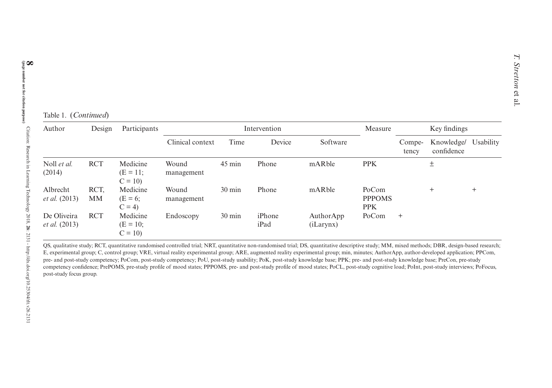| Author                           | Design            | Participants                         |                     |                  | Intervention   | Measure                |                                      | Key findings    |                          |           |
|----------------------------------|-------------------|--------------------------------------|---------------------|------------------|----------------|------------------------|--------------------------------------|-----------------|--------------------------|-----------|
|                                  |                   |                                      | Clinical context    | Time             | Device         | Software               |                                      | Compe-<br>tency | Knowledge/<br>confidence | Usability |
| Noll et al.<br>(2014)            | <b>RCT</b>        | Medicine<br>$(E = 11;$<br>$C = 10$   | Wound<br>management | 45 min           | Phone          | mARble                 | <b>PPK</b>                           |                 | $\pm$                    |           |
| Albrecht<br><i>et al.</i> (2013) | RCT,<br><b>MM</b> | Medicine<br>$(E = 6;$<br>$C = 4$     | Wound<br>management | $30 \text{ min}$ | Phone          | mARble                 | PoCom<br><b>PPPOMS</b><br><b>PPK</b> |                 |                          | $^{+}$    |
| De Oliveira<br>et al. (2013)     | <b>RCT</b>        | Medicine<br>$(E = 10)$ :<br>$C = 10$ | Endoscopy           | 30 min           | iPhone<br>iPad | AuthorApp<br>(iLarynx) | PoCom                                | $^{+}$          |                          |           |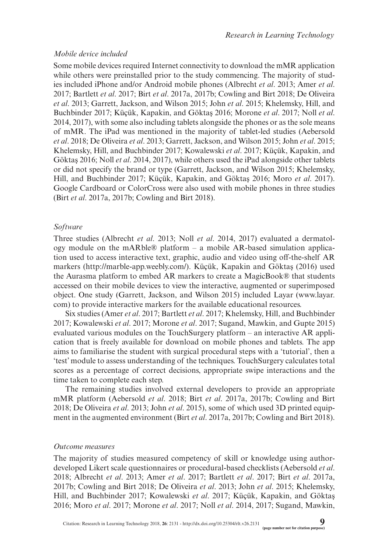#### *Mobile device included*

Some mobile devices required Internet connectivity to download the mMR application while others were preinstalled prior to the study commencing. The majority of studies included iPhone and/or Android mobile phones (Albrecht *et al*. 2013; Amer *et al*. 2017; Bartlett *et al*. 2017; Birt *et al*. 2017a, 2017b; Cowling and Birt 2018; De Oliveira *et al*. 2013; Garrett, Jackson, and Wilson 2015; John *et al*. 2015; Khelemsky, Hill, and Buchbinder 2017; Küçük, Kapakin, and Göktaş 2016; Morone *et al*. 2017; Noll *et al*. 2014, 2017), with some also including tablets alongside the phones or as the sole means of mMR. The iPad was mentioned in the majority of tablet-led studies (Aebersold *et al*. 2018; De Oliveira *et al*. 2013; Garrett, Jackson, and Wilson 2015; John *et al*. 2015; Khelemsky, Hill, and Buchbinder 2017; Kowalewski *et al*. 2017; Küçük, Kapakin, and Göktaş 2016; Noll *et al*. 2014, 2017), while others used the iPad alongside other tablets or did not specify the brand or type (Garrett, Jackson, and Wilson 2015; Khelemsky, Hill, and Buchbinder 2017; Küçük, Kapakin, and Göktaş 2016; Moro *et al*. 2017). Google Cardboard or ColorCross were also used with mobile phones in three studies (Birt *et al*. 2017a, 2017b; Cowling and Birt 2018).

#### *Software*

Three studies (Albrecht *et al*. 2013; Noll *et al*. 2014, 2017) evaluated a dermatology module on the mARble® platform  $-$  a mobile AR-based simulation application used to access interactive text, graphic, audio and video using off-the-shelf AR markers [\(http://marble-app.weebly.com/\)](http://marble-app.weebly.com/). Küçük, Kapakin and Göktaş (2016) used the Aurasma platform to embed AR markers to create a MagicBook® that students accessed on their mobile devices to view the interactive, augmented or superimposed object. One study (Garrett, Jackson, and Wilson 2015) included Layar ([www.layar.](www.layar.com) [com](www.layar.com)) to provide interactive markers for the available educational resources.

Six studies (Amer *et al*. 2017; Bartlett *et al*. 2017; Khelemsky, Hill, and Buchbinder 2017; Kowalewski *et al*. 2017; Morone *et al*. 2017; Sugand, Mawkin, and Gupte 2015) evaluated various modules on the TouchSurgery platform – an interactive AR application that is freely available for download on mobile phones and tablets. The app aims to familiarise the student with surgical procedural steps with a 'tutorial', then a 'test' module to assess understanding of the techniques. TouchSurgery calculates total scores as a percentage of correct decisions, appropriate swipe interactions and the time taken to complete each step.

The remaining studies involved external developers to provide an appropriate mMR platform (Aebersold *et al*. 2018; Birt *et al*. 2017a, 2017b; Cowling and Birt 2018; De Oliveira *et al*. 2013; John *et al*. 2015), some of which used 3D printed equipment in the augmented environment (Birt *et al*. 2017a, 2017b; Cowling and Birt 2018).

#### *Outcome measures*

The majority of studies measured competency of skill or knowledge using authordeveloped Likert scale questionnaires or procedural-based checklists (Aebersold *et al*. 2018; Albrecht *et al*. 2013; Amer *et al*. 2017; Bartlett *et al*. 2017; Birt *et al*. 2017a, 2017b; Cowling and Birt 2018; De Oliveira *et al*. 2013; John *et al*. 2015; Khelemsky, Hill, and Buchbinder 2017; Kowalewski *et al*. 2017; Küçük, Kapakin, and Göktaş 2016; Moro *et al*. 2017; Morone *et al*. 2017; Noll *et al*. 2014, 2017; Sugand, Mawkin,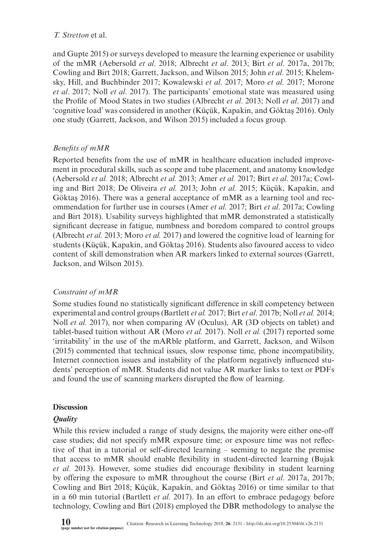and Gupte 2015) or surveys developed to measure the learning experience or usability of the mMR (Aebersold *et al*. 2018; Albrecht *et al*. 2013; Birt *et al*. 2017a, 2017b; Cowling and Birt 2018; Garrett, Jackson, and Wilson 2015; John *et al*. 2015; Khelemsky, Hill, and Buchbinder 2017; Kowalewski *et al*. 2017; Moro *et al*. 2017; Morone *et al*. 2017; Noll *et al*. 2017). The participants' emotional state was measured using the Profile of Mood States in two studies (Albrecht *et al*. 2013; Noll *et al*. 2017) and 'cognitive load' was considered in another (Küçük, Kapakin, and Göktaş 2016). Only one study (Garrett, Jackson, and Wilson 2015) included a focus group.

# *Benefits of mMR*

Reported benefits from the use of mMR in healthcare education included improvement in procedural skills, such as scope and tube placement, and anatomy knowledge (Aebersold *et al.* 2018; Albrecht *et al.* 2013; Amer *et al.* 2017; Birt *et al*. 2017a; Cowling and Birt 2018; De Oliveira *et al.* 2013; John *et al.* 2015; Küçük, Kapakin, and Göktaş 2016). There was a general acceptance of mMR as a learning tool and recommendation for further use in courses (Amer *et al.* 2017; Birt *et al*. 2017a; Cowling and Birt 2018). Usability surveys highlighted that mMR demonstrated a statistically significant decrease in fatigue, numbness and boredom compared to control groups (Albrecht *et al.* 2013; Moro *et al.* 2017) and lowered the cognitive load of learning for students (Küçük, Kapakin, and Göktaş 2016). Students also favoured access to video content of skill demonstration when AR markers linked to external sources (Garrett, Jackson, and Wilson 2015).

# *Constraint of mMR*

Some studies found no statistically significant difference in skill competency between experimental and control groups (Bartlett *et al.* 2017; Birt *et al*. 2017b; Noll *et al.* 2014; Noll *et al.* 2017), nor when comparing AV (Oculus), AR (3D objects on tablet) and tablet-based tuition without AR (Moro *et al.* 2017). Noll *et al.* (2017) reported some 'irritability' in the use of the mARble platform, and Garrett, Jackson, and Wilson (2015) commented that technical issues, slow response time, phone incompatibility, Internet connection issues and instability of the platform negatively influenced students' perception of mMR. Students did not value AR marker links to text or PDFs and found the use of scanning markers disrupted the flow of learning.

# **Discussion**

# *Quality*

While this review included a range of study designs, the majority were either one-off case studies; did not specify mMR exposure time; or exposure time was not reflective of that in a tutorial or self-directed learning – seeming to negate the premise that access to mMR should enable flexibility in student-directed learning (Bujak *et al.* 2013). However, some studies did encourage flexibility in student learning by offering the exposure to mMR throughout the course (Birt *et al*. 2017a, 2017b; Cowling and Birt 2018; Küçük, Kapakin, and Göktaş 2016) or time similar to that in a 60 min tutorial (Bartlett *et al.* 2017). In an effort to embrace pedagogy before technology, Cowling and Birt (2018) employed the DBR methodology to analyse the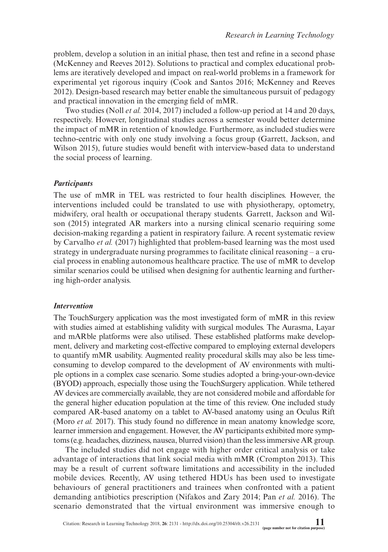problem, develop a solution in an initial phase, then test and refine in a second phase (McKenney and Reeves 2012). Solutions to practical and complex educational problems are iteratively developed and impact on real-world problems in a framework for experimental yet rigorous inquiry (Cook and Santos 2016; McKenney and Reeves 2012). Design-based research may better enable the simultaneous pursuit of pedagogy and practical innovation in the emerging field of mMR.

Two studies (Noll *et al.* 2014, 2017) included a follow-up period at 14 and 20 days, respectively. However, longitudinal studies across a semester would better determine the impact of mMR in retention of knowledge. Furthermore, as included studies were techno-centric with only one study involving a focus group (Garrett, Jackson, and Wilson 2015), future studies would benefit with interview-based data to understand the social process of learning.

#### *Participants*

The use of mMR in TEL was restricted to four health disciplines. However, the interventions included could be translated to use with physiotherapy, optometry, midwifery, oral health or occupational therapy students. Garrett, Jackson and Wilson (2015) integrated AR markers into a nursing clinical scenario requiring some decision-making regarding a patient in respiratory failure. A recent systematic review by Carvalho *et al.* (2017) highlighted that problem-based learning was the most used strategy in undergraduate nursing programmes to facilitate clinical reasoning – a crucial process in enabling autonomous healthcare practice. The use of mMR to develop similar scenarios could be utilised when designing for authentic learning and furthering high-order analysis.

#### *Intervention*

The TouchSurgery application was the most investigated form of mMR in this review with studies aimed at establishing validity with surgical modules. The Aurasma, Layar and mARble platforms were also utilised. These established platforms make development, delivery and marketing cost-effective compared to employing external developers to quantify mMR usability. Augmented reality procedural skills may also be less timeconsuming to develop compared to the development of AV environments with multiple options in a complex case scenario. Some studies adopted a bring-your-own-device (BYOD) approach, especially those using the TouchSurgery application. While tethered AV devices are commercially available, they are not considered mobile and affordable for the general higher education population at the time of this review. One included study compared AR-based anatomy on a tablet to AV-based anatomy using an Oculus Rift (Moro *et al.* 2017). This study found no difference in mean anatomy knowledge score, learner immersion and engagement. However, the AV participants exhibited more symptoms (e.g. headaches, dizziness, nausea, blurred vision) than the less immersive AR group.

The included studies did not engage with higher order critical analysis or take advantage of interactions that link social media with mMR (Crompton 2013). This may be a result of current software limitations and accessibility in the included mobile devices. Recently, AV using tethered HDUs has been used to investigate behaviours of general practitioners and trainees when confronted with a patient demanding antibiotics prescription (Nifakos and Zary 2014; Pan *et al.* 2016). The scenario demonstrated that the virtual environment was immersive enough to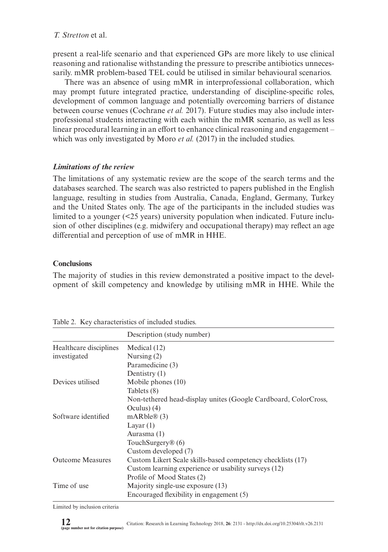present a real-life scenario and that experienced GPs are more likely to use clinical reasoning and rationalise withstanding the pressure to prescribe antibiotics unnecessarily. mMR problem-based TEL could be utilised in similar behavioural scenarios.

There was an absence of using mMR in interprofessional collaboration, which may prompt future integrated practice, understanding of discipline-specific roles, development of common language and potentially overcoming barriers of distance between course venues (Cochrane *et al.* 2017). Future studies may also include interprofessional students interacting with each within the mMR scenario, as well as less linear procedural learning in an effort to enhance clinical reasoning and engagement – which was only investigated by Moro *et al.* (2017) in the included studies.

## *Limitations of the review*

The limitations of any systematic review are the scope of the search terms and the databases searched. The search was also restricted to papers published in the English language, resulting in studies from Australia, Canada, England, Germany, Turkey and the United States only. The age of the participants in the included studies was limited to a younger  $\leq 25$  years) university population when indicated. Future inclusion of other disciplines (e.g. midwifery and occupational therapy) may reflect an age differential and perception of use of mMR in HHE.

## **Conclusions**

The majority of studies in this review demonstrated a positive impact to the development of skill competency and knowledge by utilising mMR in HHE. While the

|                         | Description (study number)                                      |
|-------------------------|-----------------------------------------------------------------|
| Healthcare disciplines  | Medical $(12)$                                                  |
| investigated            | Nursing $(2)$                                                   |
|                         | Paramedicine (3)                                                |
|                         | Dentistry $(1)$                                                 |
| Devices utilised        | Mobile phones $(10)$                                            |
|                         | Tablets (8)                                                     |
|                         | Non-tethered head-display unites (Google Cardboard, ColorCross, |
|                         | Oculus) $(4)$                                                   |
| Software identified     | mARble@(3)                                                      |
|                         | Layar $(1)$                                                     |
|                         | Aurasma (1)                                                     |
|                         | TouchSurgery® (6)                                               |
|                         | Custom developed (7)                                            |
| <b>Outcome Measures</b> | Custom Likert Scale skills-based competency checklists (17)     |
|                         | Custom learning experience or usability surveys (12)            |
|                         | Profile of Mood States (2)                                      |
| Time of use             | Majority single-use exposure (13)                               |
|                         | Encouraged flexibility in engagement (5)                        |

Table 2. Key characteristics of included studies.

Limited by inclusion criteria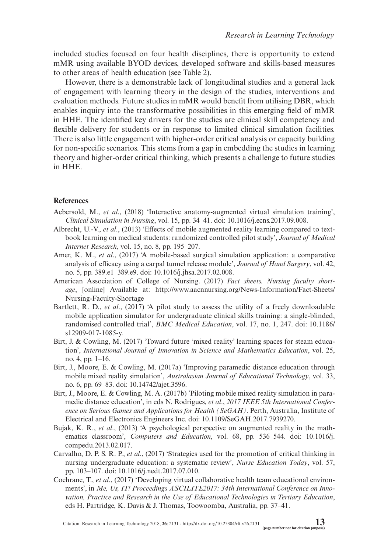included studies focused on four health disciplines, there is opportunity to extend mMR using available BYOD devices, developed software and skills-based measures to other areas of health education (see Table 2).

However, there is a demonstrable lack of longitudinal studies and a general lack of engagement with learning theory in the design of the studies, interventions and evaluation methods. Future studies in mMR would benefit from utilising DBR, which enables inquiry into the transformative possibilities in this emerging field of mMR in HHE. The identified key drivers for the studies are clinical skill competency and flexible delivery for students or in response to limited clinical simulation facilities. There is also little engagement with higher-order critical analysis or capacity building for non-specific scenarios. This stems from a gap in embedding the studies in learning theory and higher-order critical thinking, which presents a challenge to future studies in HHE.

#### **References**

- Aebersold, M., *et al*., (2018) 'Interactive anatomy-augmented virtual simulation training', *Clinical Simulation in Nursing*, vol. 15, pp. 34–41. doi: 10.1016/j.ecns.2017.09.008.
- Albrecht, U.-V., *et al*., (2013) 'Effects of mobile augmented reality learning compared to textbook learning on medical students: randomized controlled pilot study', *Journal of Medical Internet Research*, vol. 15, no. 8, pp. 195–207.
- Amer, K. M., *et al*., (2017) 'A mobile-based surgical simulation application: a comparative analysis of efficacy using a carpal tunnel release module', *Journal of Hand Surgery*, vol. 42, no. 5, pp. 389.e1–389.e9. doi: 10.1016/j.jhsa.2017.02.008.
- American Association of College of Nursing. (2017) *Fact sheets. Nursing faculty shortage*, [online] Available at: [http://www.aacnnursing.org/News-Information/Fact-Sheets/](http://www.aacnnursing.org/News-Information/Fact-Sheets/Nursing-Faculty-Shortage) [Nursing-Faculty-Shortage](http://www.aacnnursing.org/News-Information/Fact-Sheets/Nursing-Faculty-Shortage)
- Bartlett, R. D., *et al*., (2017) 'A pilot study to assess the utility of a freely downloadable mobile application simulator for undergraduate clinical skills training: a single-blinded, randomised controlled trial', *BMC Medical Education*, vol. 17, no. 1, 247. doi: 10.1186/ s12909-017-1085-y.
- Birt, J. & Cowling, M. (2017) 'Toward future 'mixed reality' learning spaces for steam education', *International Journal of Innovation in Science and Mathematics Education*, vol. 25, no. 4, pp. 1–16.
- Birt, J., Moore, E. & Cowling, M. (2017a) 'Improving paramedic distance education through mobile mixed reality simulation', *Australasian Journal of Educational Technology*, vol. 33, no. 6, pp. 69–83. doi: 10.14742/ajet.3596.
- Birt, J., Moore, E. & Cowling, M. A. (2017b) 'Piloting mobile mixed reality simulation in paramedic distance education', in eds N. Rodrigues, *et al*., *2017 IEEE 5th International Conference on Serious Games and Applications for Health (SeGAH)*. Perth, Australia, Institute of Electrical and Electronics Engineers Inc. doi: 10.1109/SeGAH.2017.7939270.
- Bujak, K. R., *et al*., (2013) 'A psychological perspective on augmented reality in the mathematics classroom', *Computers and Education*, vol. 68, pp. 536–544. doi: 10.1016/j. compedu.2013.02.017.
- Carvalho, D. P. S. R. P., *et al*., (2017) 'Strategies used for the promotion of critical thinking in nursing undergraduate education: a systematic review', *Nurse Education Today*, vol. 57, pp. 103–107. doi: 10.1016/j.nedt.2017.07.010.
- Cochrane, T., *et al*., (2017) 'Developing virtual collaborative health team educational environments', in *Me, Us, IT! Proceedings ASCILITE2017: 34th International Conference on Innovation, Practice and Research in the Use of Educational Technologies in Tertiary Education*, eds H. Partridge, K. Davis & J. Thomas, Toowoomba, Australia, pp. 37–41.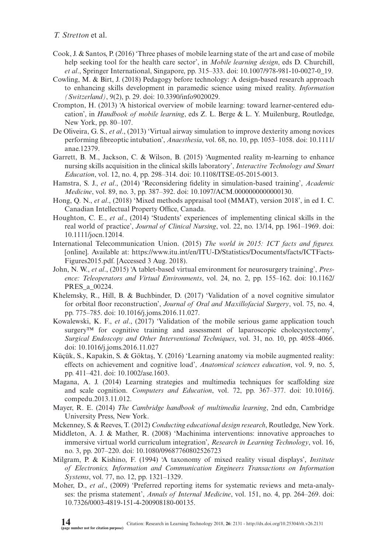- Cook, J. & Santos, P. (2016) 'Three phases of mobile learning state of the art and case of mobile help seeking tool for the health care sector', in *Mobile learning design*, eds D. Churchill, *et al*., Springer International, Singapore, pp. 315–333. doi: 10.1007/978-981-10-0027-0\_19.
- Cowling, M. & Birt, J. (2018) Pedagogy before technology: A design-based research approach to enhancing skills development in paramedic science using mixed reality. *Information (Switzerland)*, 9(2), p. 29. doi: 10.3390/info9020029.
- Crompton, H. (2013) 'A historical overview of mobile learning: toward learner-centered education', in *Handbook of mobile learning*, eds Z. L. Berge & L. Y. Muilenburg, Routledge, New York, pp. 80–107.
- De Oliveira, G. S., *et al*., (2013) 'Virtual airway simulation to improve dexterity among novices performing fibreoptic intubation', *Anaesthesia*, vol. 68, no. 10, pp. 1053–1058. doi: 10.1111/ anae.12379.
- Garrett, B. M., Jackson, C. & Wilson, B. (2015) 'Augmented reality m-learning to enhance nursing skills acquisition in the clinical skills laboratory', *Interactive Technology and Smart Education*, vol. 12, no. 4, pp. 298–314. doi: 10.1108/ITSE-05-2015-0013.
- Hamstra, S. J., *et al*., (2014) 'Reconsidering fidelity in simulation-based training', *Academic Medicine*, vol. 89, no. 3, pp. 387–392. doi: 10.1097/ACM.0000000000000130.
- Hong, Q. N., *et al*., (2018) 'Mixed methods appraisal tool (MMAT), version 2018', in ed I. C. Canadian Intellectual Property Office, Canada.
- Houghton, C. E., *et al*., (2014) 'Students' experiences of implementing clinical skills in the real world of practice', *Journal of Clinical Nursing*, vol. 22, no. 13/14, pp. 1961–1969. doi: 10.1111/jocn.12014.
- International Telecommunication Union. (2015) *The world in 2015: ICT facts and figures.* [online]. Available at: [https://www.itu.int/en/ITU-D/Statistics/Documents/facts/ICTFacts-](https://www.itu.int/en/ITU-D/Statistics/Documents/facts/ICTFactsFigures2015.pdf)[Figures2015.pdf.](https://www.itu.int/en/ITU-D/Statistics/Documents/facts/ICTFactsFigures2015.pdf) [Accessed 3 Aug. 2018).
- John, N. W., *et al*., (2015) 'A tablet-based virtual environment for neurosurgery training', *Presence: Teleoperators and Virtual Environments*, vol. 24, no. 2, pp. 155–162. doi: 10.1162/ PRES\_a\_00224.
- Khelemsky, R., Hill, B. & Buchbinder, D. (2017) 'Validation of a novel cognitive simulator for orbital floor reconstruction', *Journal of Oral and Maxillofacial Surgery*, vol. 75, no. 4, pp. 775–785. doi: 10.1016/j.joms.2016.11.027.
- Kowalewski, K. F., *et al*., (2017) 'Validation of the mobile serious game application touch surgery<sup>™</sup> for cognitive training and assessment of laparoscopic cholecystectomy', *Surgical Endoscopy and Other Interventional Techniques*, vol. 31, no. 10, pp. 4058–4066. doi: 10.1016/j.joms.2016.11.027
- Küçük, S., Kapakin, S. & Göktaş, Y. (2016) 'Learning anatomy via mobile augmented reality: effects on achievement and cognitive load', *Anatomical sciences education*, vol. 9, no. 5, pp. 411–421. doi: 10.1002/ase.1603.
- Magana, A. J. (2014) Learning strategies and multimedia techniques for scaffolding size and scale cognition. *Computers and Education*, vol. 72, pp. 367–377. doi: 10.1016/j. compedu.2013.11.012.
- Mayer, R. E. (2014) *The Cambridge handbook of multimedia learning*, 2nd edn, Cambridge University Press, New York.
- Mckenney, S. & Reeves, T. (2012) *Conducting educational design research*, Routledge, New York.
- Middleton, A. J. & Mather, R. (2008) 'Machinima interventions: innovative approaches to immersive virtual world curriculum integration', *Research in Learning Technology*, vol. 16, no. 3, pp. 207–220. doi: 10.1080/09687760802526723
- Milgram, P. & Kishino, F. (1994) 'A taxonomy of mixed reality visual displays', *Institute of Electronics, Information and Communication Engineers Transactions on Information Systems*, vol. 77, no. 12, pp. 1321–1329.
- Moher, D., *et al*., (2009) 'Preferred reporting items for systematic reviews and meta-analyses: the prisma statement', *Annals of Internal Medicine*, vol. 151, no. 4, pp. 264–269. doi: 10.7326/0003-4819-151-4-200908180-00135.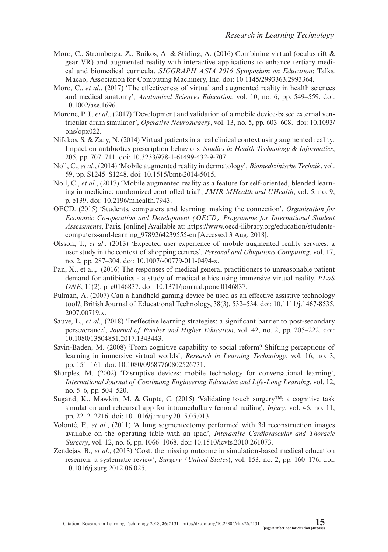- Moro, C., Stromberga, Z., Raikos, A. & Stirling, A. (2016) Combining virtual (oculus rift & gear VR) and augmented reality with interactive applications to enhance tertiary medical and biomedical curricula. *SIGGRAPH ASIA 2016 Symposium on Education*: Talks. Macao, Association for Computing Machinery, Inc. doi: 10.1145/2993363.2993364.
- Moro, C., *et al*., (2017) 'The effectiveness of virtual and augmented reality in health sciences and medical anatomy', *Anatomical Sciences Education*, vol. 10, no. 6, pp. 549–559. doi: 10.1002/ase.1696.
- Morone, P. J., *et al*., (2017) 'Development and validation of a mobile device-based external ventricular drain simulator', *Operative Neurosurgery*, vol. 13, no. 5, pp. 603–608. doi: 10.1093/ ons/opx022.
- Nifakos, S. & Zary, N. (2014) Virtual patients in a real clinical context using augmented reality: Impact on antibiotics prescription behaviors. *Studies in Health Technology & Informatics*, 205, pp. 707–711. doi: 10.3233/978-1-61499-432-9-707.
- Noll, C., *et al*., (2014) 'Mobile augmented reality in dermatology', *Biomedizinische Technik*, vol. 59, pp. S1245–S1248. doi: 10.1515/bmt-2014-5015.
- Noll, C., *et al*., (2017) 'Mobile augmented reality as a feature for self-oriented, blended learning in medicine: randomized controlled trial', *JMIR MHealth and UHealth*, vol. 5, no. 9, p. e139. doi: 10.2196/mhealth.7943.
- OECD. (2015) 'Students, computers and learning: making the connection', *Organisation for Economic Co-operation and Development (OECD) Programme for International Student Assessments*, Paris. [online] Available at: https://www.oecd-ilibrary.org/education/studentscomputers-and-learning\_9789264239555-en [Accessed 3 Aug. 2018].
- Olsson, T., *et al*., (2013) 'Expected user experience of mobile augmented reality services: a user study in the context of shopping centres', *Personal and Ubiquitous Computing*, vol. 17, no. 2, pp. 287–304. doi: 10.1007/s00779-011-0494-x.
- Pan, X., et al., (2016) The responses of medical general practitioners to unreasonable patient demand for antibiotics - a study of medical ethics using immersive virtual reality. *PLoS ONE*, 11(2), p. e0146837. doi: 10.1371/journal.pone.0146837.
- Pulman, A. (2007) Can a handheld gaming device be used as an effective assistive technology tool?, British Journal of Educational Technology, 38(3), 532–534. doi: 10.1111/j.1467-8535. 2007.00719.x.
- Sauve, L., *et al*., (2018) 'Ineffective learning strategies: a significant barrier to post-secondary perseverance', *Journal of Further and Higher Education*, vol. 42, no. 2, pp. 205–222. doi: 10.1080/13504851.2017.1343443.
- Savin-Baden, M. (2008) 'From cognitive capability to social reform? Shifting perceptions of learning in immersive virtual worlds', *Research in Learning Technology*, vol. 16, no. 3, pp. 151–161. doi: 10.1080/09687760802526731.
- Sharples, M. (2002) 'Disruptive devices: mobile technology for conversational learning', *International Journal of Continuing Engineering Education and Life-Long Learning*, vol. 12, no. 5–6, pp. 504–520.
- Sugand, K., Mawkin, M. & Gupte, C. (2015) 'Validating touch surgery™: a cognitive task simulation and rehearsal app for intramedullary femoral nailing', *Injury*, vol. 46, no. 11, pp. 2212–2216. doi: 10.1016/j.injury.2015.05.013.
- Volonté, F., *et al*., (2011) 'A lung segmentectomy performed with 3d reconstruction images available on the operating table with an ipad', *Interactive Cardiovascular and Thoracic Surgery*, vol. 12, no. 6, pp. 1066–1068. doi: 10.1510/icvts.2010.261073.
- Zendejas, B., *et al*., (2013) 'Cost: the missing outcome in simulation-based medical education research: a systematic review', *Surgery (United States*), vol. 153, no. 2, pp. 160–176. doi: 10.1016/j.surg.2012.06.025.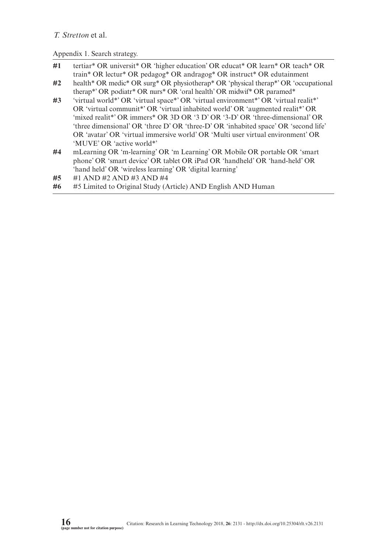Appendix 1. Search strategy.

- **#1** tertiar\* OR universit\* OR 'higher education' OR educat\* OR learn\* OR teach\* OR train\* OR lectur\* OR pedagog\* OR andragog\* OR instruct\* OR edutainment
- **#2** health\* OR medic\* OR surg\* OR physiotherap\* OR 'physical therap\*' OR 'occupational therap\*' OR podiatr\* OR nurs\* OR 'oral health' OR midwif\* OR paramed\*
- **#3** 'virtual world\*' OR 'virtual space\*' OR 'virtual environment\*' OR 'virtual realit\*' OR 'virtual communit\*' OR 'virtual inhabited world' OR 'augmented realit\*' OR 'mixed realit\*' OR immers\* OR 3D OR '3 D' OR '3-D' OR 'three-dimensional' OR 'three dimensional' OR 'three D' OR 'three-D' OR 'inhabited space' OR 'second life' OR 'avatar' OR 'virtual immersive world' OR 'Multi user virtual environment' OR 'MUVE' OR 'active world\*'
- **#4** mLearning OR 'm-learning' OR 'm Learning' OR Mobile OR portable OR 'smart phone' OR 'smart device' OR tablet OR iPad OR 'handheld' OR 'hand-held' OR 'hand held' OR 'wireless learning' OR 'digital learning'
- **#5** #1 AND #2 AND #3 AND #4
- **#6** #5 Limited to Original Study (Article) AND English AND Human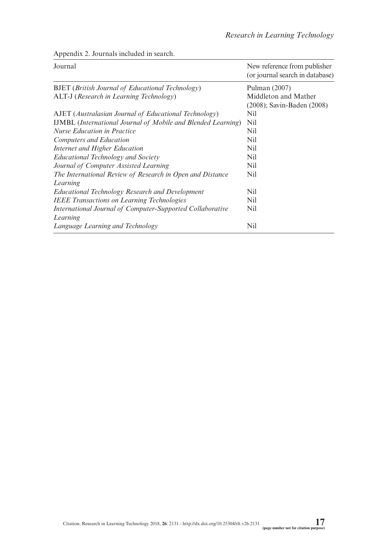| Journal                                                               | New reference from publisher<br>(or journal search in database) |
|-----------------------------------------------------------------------|-----------------------------------------------------------------|
| <b>BJET</b> ( <i>British Journal of Educational Technology</i> )      | Pulman $(2007)$                                                 |
| ALT-J (Research in Learning Technology)                               | Middleton and Mather<br>(2008); Savin-Baden (2008)              |
| AJET (Australasian Journal of Educational Technology)                 | Nil                                                             |
| <b>IJMBL</b> (International Journal of Mobile and Blended Learning)   | Nil                                                             |
| <b>Nurse Education in Practice</b>                                    | Nil                                                             |
| Computers and Education                                               | Nil                                                             |
| Internet and Higher Education                                         | Nil                                                             |
| <b>Educational Technology and Society</b>                             | Nil                                                             |
| Journal of Computer Assisted Learning                                 | Nil                                                             |
| The International Review of Research in Open and Distance<br>Learning | Nil                                                             |
| Educational Technology Research and Development                       | Nil                                                             |
| <b>IEEE Transactions on Learning Technologies</b>                     | Nil                                                             |
| International Journal of Computer-Supported Collaborative<br>Learning | Nil                                                             |
| Language Learning and Technology                                      | Nil                                                             |

Appendix 2. Journals included in search.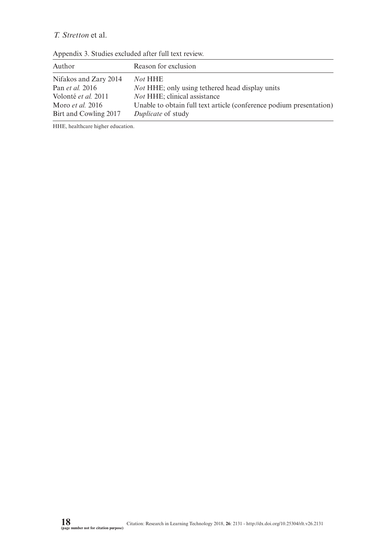| Author                  | Reason for exclusion                                                |
|-------------------------|---------------------------------------------------------------------|
| Nifakos and Zary 2014   | Not HHE                                                             |
| Pan <i>et al.</i> 2016  | <i>Not</i> HHE; only using tethered head display units              |
| Volonté et al. 2011     | <i>Not</i> HHE; clinical assistance                                 |
| Moro <i>et al.</i> 2016 | Unable to obtain full text article (conference podium presentation) |
| Birt and Cowling 2017   | <i>Duplicate</i> of study                                           |

Appendix 3. Studies excluded after full text review.

HHE, healthcare higher education.